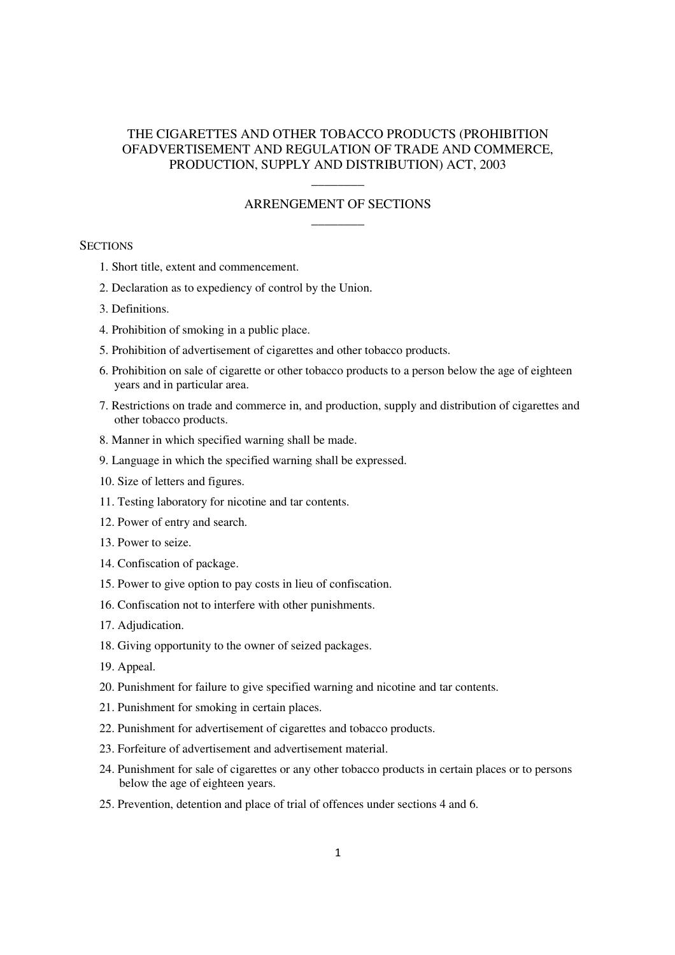# THE CIGARETTES AND OTHER TOBACCO PRODUCTS (PROHIBITION OFADVERTISEMENT AND REGULATION OF TRADE AND COMMERCE, PRODUCTION, SUPPLY AND DISTRIBUTION) ACT, 2003

# –––––––– ARRENGEMENT OF SECTIONS ––––––––

### **SECTIONS**

- 1. Short title, extent and commencement.
- 2. Declaration as to expediency of control by the Union.
- 3. Definitions.
- 4. Prohibition of smoking in a public place.
- 5. Prohibition of advertisement of cigarettes and other tobacco products.
- 6. Prohibition on sale of cigarette or other tobacco products to a person below the age of eighteen years and in particular area.
- 7. Restrictions on trade and commerce in, and production, supply and distribution of cigarettes and other tobacco products.
- 8. Manner in which specified warning shall be made.
- 9. Language in which the specified warning shall be expressed.
- 10. Size of letters and figures.
- 11. Testing laboratory for nicotine and tar contents.
- 12. Power of entry and search.
- 13. Power to seize.
- 14. Confiscation of package.
- 15. Power to give option to pay costs in lieu of confiscation.
- 16. Confiscation not to interfere with other punishments.
- 17. Adjudication.
- 18. Giving opportunity to the owner of seized packages.
- 19. Appeal.
- 20. Punishment for failure to give specified warning and nicotine and tar contents.
- 21. Punishment for smoking in certain places.
- 22. Punishment for advertisement of cigarettes and tobacco products.
- 23. Forfeiture of advertisement and advertisement material.
- 24. Punishment for sale of cigarettes or any other tobacco products in certain places or to persons below the age of eighteen years.
- 25. Prevention, detention and place of trial of offences under sections 4 and 6.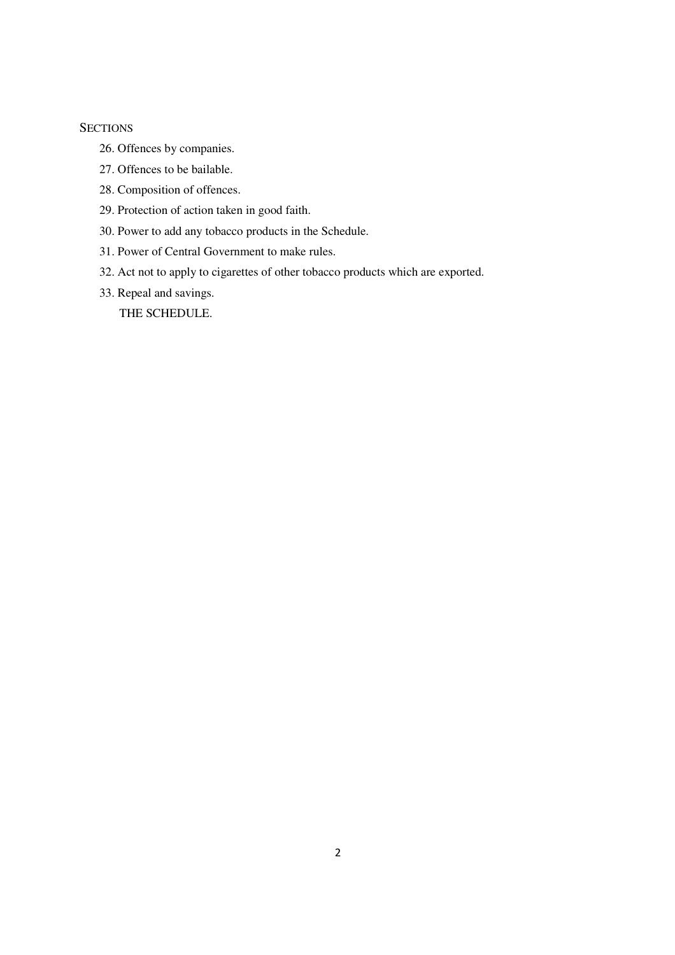# **SECTIONS**

- 26. Offences by companies.
- 27. Offences to be bailable.
- 28. Composition of offences.
- 29. Protection of action taken in good faith.
- 30. Power to add any tobacco products in the Schedule.
- 31. Power of Central Government to make rules.
- 32. Act not to apply to cigarettes of other tobacco products which are exported.
- 33. Repeal and savings.

THE SCHEDULE.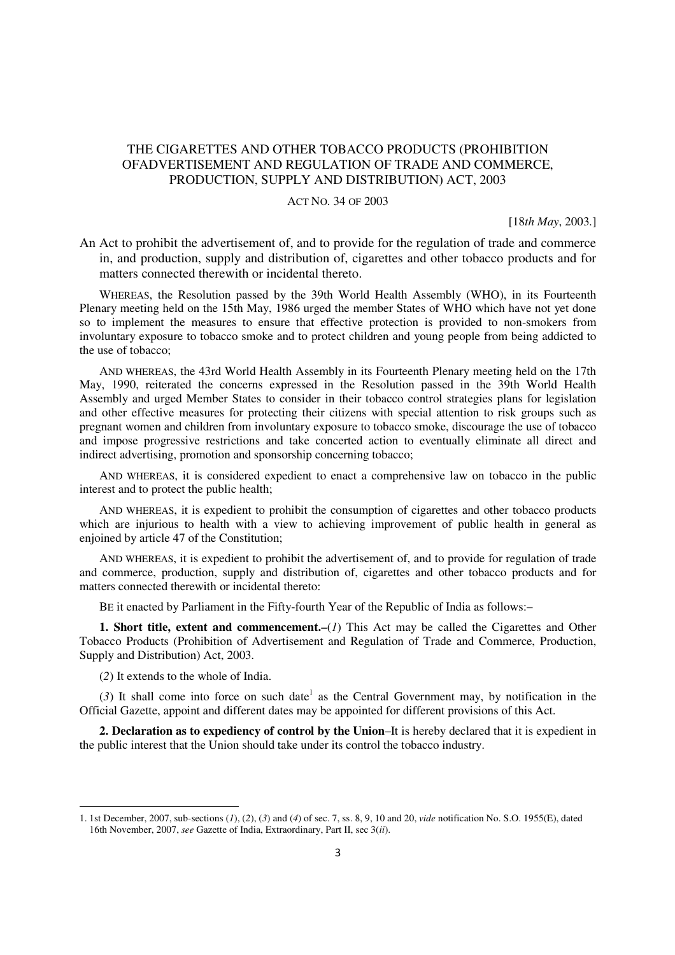# THE CIGARETTES AND OTHER TOBACCO PRODUCTS (PROHIBITION OFADVERTISEMENT AND REGULATION OF TRADE AND COMMERCE, PRODUCTION, SUPPLY AND DISTRIBUTION) ACT, 2003

### ACT NO. 34 OF 2003

[18*th May*, 2003.]

An Act to prohibit the advertisement of, and to provide for the regulation of trade and commerce in, and production, supply and distribution of, cigarettes and other tobacco products and for matters connected therewith or incidental thereto.

WHEREAS, the Resolution passed by the 39th World Health Assembly (WHO), in its Fourteenth Plenary meeting held on the 15th May, 1986 urged the member States of WHO which have not yet done so to implement the measures to ensure that effective protection is provided to non-smokers from involuntary exposure to tobacco smoke and to protect children and young people from being addicted to the use of tobacco;

AND WHEREAS, the 43rd World Health Assembly in its Fourteenth Plenary meeting held on the 17th May, 1990, reiterated the concerns expressed in the Resolution passed in the 39th World Health Assembly and urged Member States to consider in their tobacco control strategies plans for legislation and other effective measures for protecting their citizens with special attention to risk groups such as pregnant women and children from involuntary exposure to tobacco smoke, discourage the use of tobacco and impose progressive restrictions and take concerted action to eventually eliminate all direct and indirect advertising, promotion and sponsorship concerning tobacco;

AND WHEREAS, it is considered expedient to enact a comprehensive law on tobacco in the public interest and to protect the public health;

AND WHEREAS, it is expedient to prohibit the consumption of cigarettes and other tobacco products which are injurious to health with a view to achieving improvement of public health in general as enjoined by article 47 of the Constitution;

AND WHEREAS, it is expedient to prohibit the advertisement of, and to provide for regulation of trade and commerce, production, supply and distribution of, cigarettes and other tobacco products and for matters connected therewith or incidental thereto:

BE it enacted by Parliament in the Fifty-fourth Year of the Republic of India as follows:–

**1. Short title, extent and commencement.–**(*1*) This Act may be called the Cigarettes and Other Tobacco Products (Prohibition of Advertisement and Regulation of Trade and Commerce, Production, Supply and Distribution) Act, 2003.

(*2*) It extends to the whole of India.

 $\overline{a}$ 

 $(3)$  It shall come into force on such date<sup>1</sup> as the Central Government may, by notification in the Official Gazette, appoint and different dates may be appointed for different provisions of this Act.

**2. Declaration as to expediency of control by the Union**–It is hereby declared that it is expedient in the public interest that the Union should take under its control the tobacco industry.

<sup>1. 1</sup>st December, 2007, sub-sections (*1*), (*2*), (*3*) and (*4*) of sec. 7, ss. 8, 9, 10 and 20, *vide* notification No. S.O. 1955(E), dated 16th November, 2007, *see* Gazette of India, Extraordinary, Part II, sec 3(*ii*).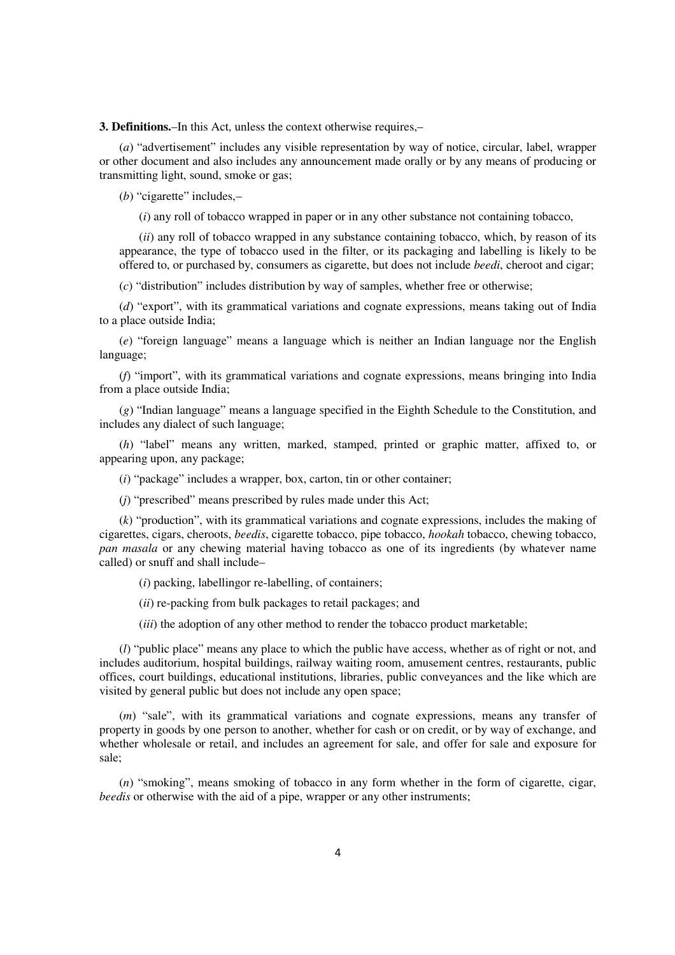**3. Definitions.**–In this Act, unless the context otherwise requires,–

(*a*) "advertisement" includes any visible representation by way of notice, circular, label, wrapper or other document and also includes any announcement made orally or by any means of producing or transmitting light, sound, smoke or gas;

(*b*) "cigarette" includes,–

(*i*) any roll of tobacco wrapped in paper or in any other substance not containing tobacco,

(*ii*) any roll of tobacco wrapped in any substance containing tobacco, which, by reason of its appearance, the type of tobacco used in the filter, or its packaging and labelling is likely to be offered to, or purchased by, consumers as cigarette, but does not include *beedi*, cheroot and cigar;

(*c*) "distribution" includes distribution by way of samples, whether free or otherwise;

(*d*) "export", with its grammatical variations and cognate expressions, means taking out of India to a place outside India;

(*e*) "foreign language" means a language which is neither an Indian language nor the English language;

(*f*) "import", with its grammatical variations and cognate expressions, means bringing into India from a place outside India;

(*g*) "Indian language" means a language specified in the Eighth Schedule to the Constitution, and includes any dialect of such language;

(*h*) "label" means any written, marked, stamped, printed or graphic matter, affixed to, or appearing upon, any package;

(*i*) "package" includes a wrapper, box, carton, tin or other container;

(*j*) "prescribed" means prescribed by rules made under this Act;

(*k*) "production", with its grammatical variations and cognate expressions, includes the making of cigarettes, cigars, cheroots, *beedis*, cigarette tobacco, pipe tobacco, *hookah* tobacco, chewing tobacco, *pan masala* or any chewing material having tobacco as one of its ingredients (by whatever name called) or snuff and shall include–

(*i*) packing, labellingor re-labelling, of containers;

(*ii*) re-packing from bulk packages to retail packages; and

(*iii*) the adoption of any other method to render the tobacco product marketable;

(*l*) "public place" means any place to which the public have access, whether as of right or not, and includes auditorium, hospital buildings, railway waiting room, amusement centres, restaurants, public offices, court buildings, educational institutions, libraries, public conveyances and the like which are visited by general public but does not include any open space;

(*m*) "sale", with its grammatical variations and cognate expressions, means any transfer of property in goods by one person to another, whether for cash or on credit, or by way of exchange, and whether wholesale or retail, and includes an agreement for sale, and offer for sale and exposure for sale;

(*n*) "smoking", means smoking of tobacco in any form whether in the form of cigarette, cigar, *beedis* or otherwise with the aid of a pipe, wrapper or any other instruments;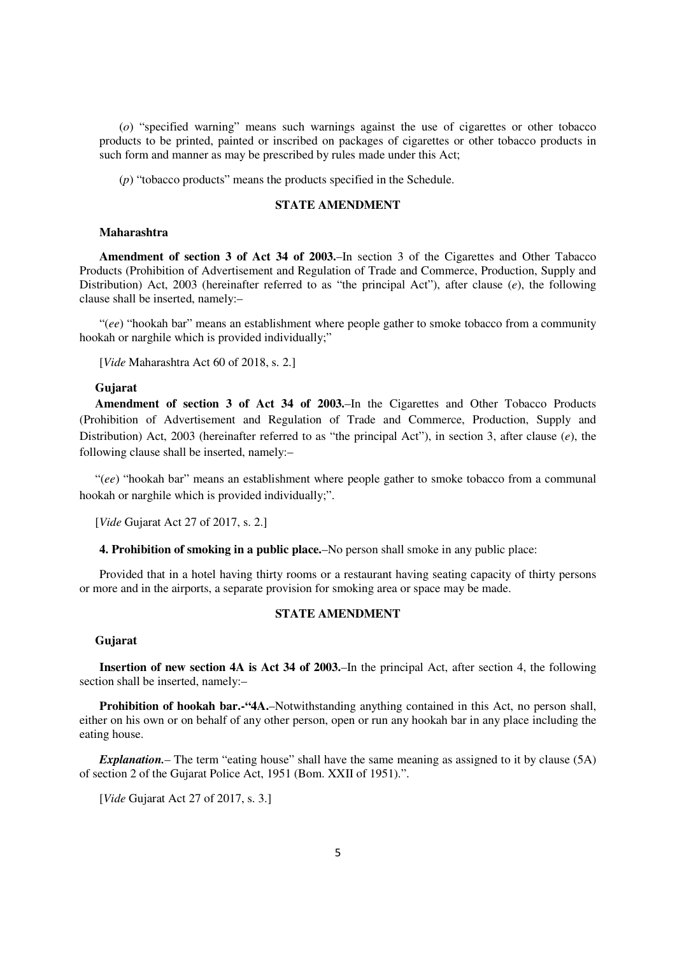(*o*) "specified warning" means such warnings against the use of cigarettes or other tobacco products to be printed, painted or inscribed on packages of cigarettes or other tobacco products in such form and manner as may be prescribed by rules made under this Act;

(*p*) "tobacco products" means the products specified in the Schedule.

# **STATE AMENDMENT**

#### **Maharashtra**

**Amendment of section 3 of Act 34 of 2003.**–In section 3 of the Cigarettes and Other Tabacco Products (Prohibition of Advertisement and Regulation of Trade and Commerce, Production, Supply and Distribution) Act, 2003 (hereinafter referred to as "the principal Act"), after clause (*e*), the following clause shall be inserted, namely:–

"(*ee*) "hookah bar" means an establishment where people gather to smoke tobacco from a community hookah or narghile which is provided individually;"

[*Vide* Maharashtra Act 60 of 2018, s. 2.]

#### **Gujarat**

**Amendment of section 3 of Act 34 of 2003.**–In the Cigarettes and Other Tobacco Products (Prohibition of Advertisement and Regulation of Trade and Commerce, Production, Supply and Distribution) Act, 2003 (hereinafter referred to as "the principal Act"), in section 3, after clause (*e*), the following clause shall be inserted, namely:–

"(*ee*) "hookah bar" means an establishment where people gather to smoke tobacco from a communal hookah or narghile which is provided individually;".

[*Vide* Gujarat Act 27 of 2017, s. 2.]

**4. Prohibition of smoking in a public place.**–No person shall smoke in any public place:

Provided that in a hotel having thirty rooms or a restaurant having seating capacity of thirty persons or more and in the airports, a separate provision for smoking area or space may be made.

# **STATE AMENDMENT**

# **Gujarat**

**Insertion of new section 4A is Act 34 of 2003.**–In the principal Act, after section 4, the following section shall be inserted, namely:–

**Prohibition of hookah bar.-"4A.–Notwithstanding anything contained in this Act, no person shall,** either on his own or on behalf of any other person, open or run any hookah bar in any place including the eating house.

*Explanation.*– The term "eating house" shall have the same meaning as assigned to it by clause (5A) of section 2 of the Gujarat Police Act, 1951 (Bom. XXII of 1951).".

[*Vide* Gujarat Act 27 of 2017, s. 3.]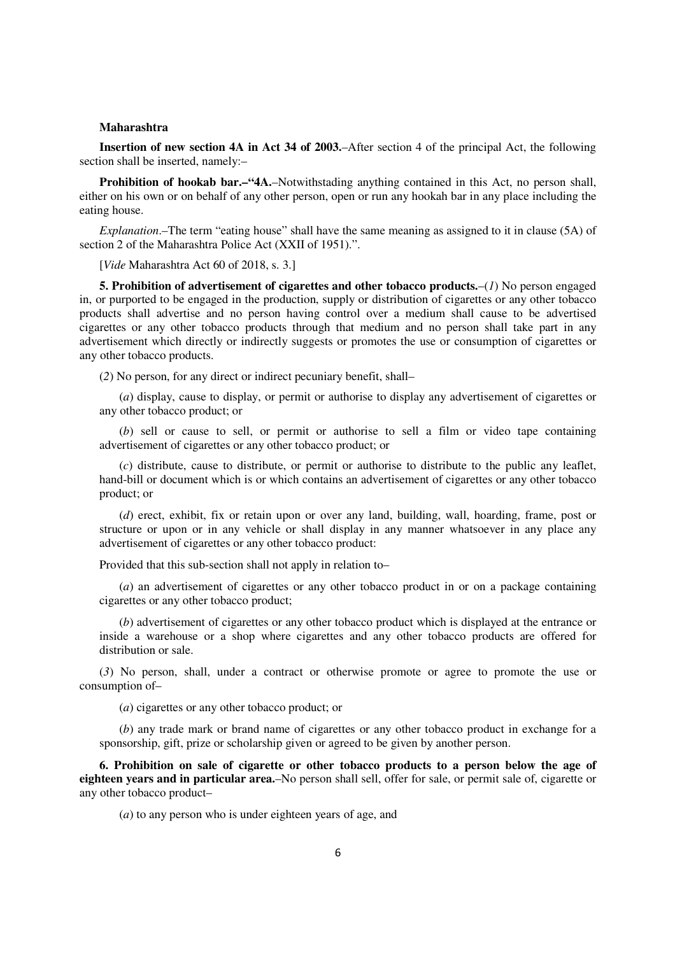#### **Maharashtra**

**Insertion of new section 4A in Act 34 of 2003.**–After section 4 of the principal Act, the following section shall be inserted, namely:–

**Prohibition of hookab bar.–"4A.**–Notwithstading anything contained in this Act, no person shall, either on his own or on behalf of any other person, open or run any hookah bar in any place including the eating house.

*Explanation*.–The term "eating house" shall have the same meaning as assigned to it in clause (5A) of section 2 of the Maharashtra Police Act (XXII of 1951).".

[*Vide* Maharashtra Act 60 of 2018, s. 3.]

**5. Prohibition of advertisement of cigarettes and other tobacco products.–** $(I)$  **No person engaged** in, or purported to be engaged in the production, supply or distribution of cigarettes or any other tobacco products shall advertise and no person having control over a medium shall cause to be advertised cigarettes or any other tobacco products through that medium and no person shall take part in any advertisement which directly or indirectly suggests or promotes the use or consumption of cigarettes or any other tobacco products.

(*2*) No person, for any direct or indirect pecuniary benefit, shall–

(*a*) display, cause to display, or permit or authorise to display any advertisement of cigarettes or any other tobacco product; or

(*b*) sell or cause to sell, or permit or authorise to sell a film or video tape containing advertisement of cigarettes or any other tobacco product; or

(*c*) distribute, cause to distribute, or permit or authorise to distribute to the public any leaflet, hand-bill or document which is or which contains an advertisement of cigarettes or any other tobacco product; or

(*d*) erect, exhibit, fix or retain upon or over any land, building, wall, hoarding, frame, post or structure or upon or in any vehicle or shall display in any manner whatsoever in any place any advertisement of cigarettes or any other tobacco product:

Provided that this sub-section shall not apply in relation to–

(*a*) an advertisement of cigarettes or any other tobacco product in or on a package containing cigarettes or any other tobacco product;

(*b*) advertisement of cigarettes or any other tobacco product which is displayed at the entrance or inside a warehouse or a shop where cigarettes and any other tobacco products are offered for distribution or sale.

(*3*) No person, shall, under a contract or otherwise promote or agree to promote the use or consumption of–

(*a*) cigarettes or any other tobacco product; or

(*b*) any trade mark or brand name of cigarettes or any other tobacco product in exchange for a sponsorship, gift, prize or scholarship given or agreed to be given by another person.

**6. Prohibition on sale of cigarette or other tobacco products to a person below the age of eighteen years and in particular area.**–No person shall sell, offer for sale, or permit sale of, cigarette or any other tobacco product–

(*a*) to any person who is under eighteen years of age, and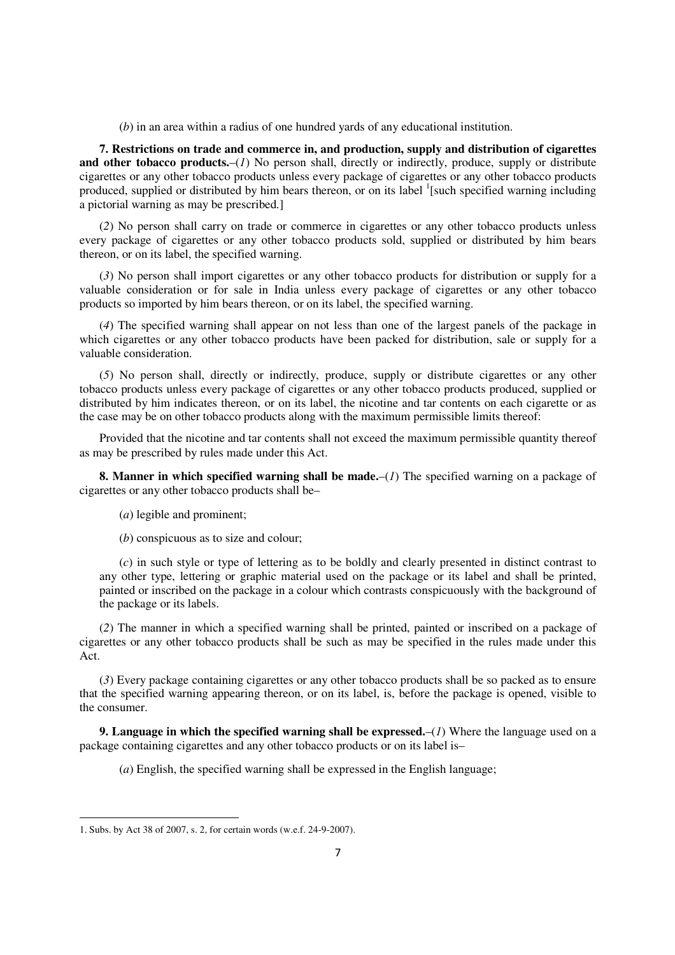(*b*) in an area within a radius of one hundred yards of any educational institution.

**7. Restrictions on trade and commerce in, and production, supply and distribution of cigarettes and other tobacco products.**–(*1*) No person shall, directly or indirectly, produce, supply or distribute cigarettes or any other tobacco products unless every package of cigarettes or any other tobacco products produced, supplied or distributed by him bears thereon, or on its label <sup>1</sup>[such specified warning including a pictorial warning as may be prescribed.]

(*2*) No person shall carry on trade or commerce in cigarettes or any other tobacco products unless every package of cigarettes or any other tobacco products sold, supplied or distributed by him bears thereon, or on its label, the specified warning.

(*3*) No person shall import cigarettes or any other tobacco products for distribution or supply for a valuable consideration or for sale in India unless every package of cigarettes or any other tobacco products so imported by him bears thereon, or on its label, the specified warning.

(*4*) The specified warning shall appear on not less than one of the largest panels of the package in which cigarettes or any other tobacco products have been packed for distribution, sale or supply for a valuable consideration.

(*5*) No person shall, directly or indirectly, produce, supply or distribute cigarettes or any other tobacco products unless every package of cigarettes or any other tobacco products produced, supplied or distributed by him indicates thereon, or on its label, the nicotine and tar contents on each cigarette or as the case may be on other tobacco products along with the maximum permissible limits thereof:

Provided that the nicotine and tar contents shall not exceed the maximum permissible quantity thereof as may be prescribed by rules made under this Act.

**8. Manner in which specified warning shall be made.**–(*1*) The specified warning on a package of cigarettes or any other tobacco products shall be–

(*a*) legible and prominent;

(*b*) conspicuous as to size and colour;

(*c*) in such style or type of lettering as to be boldly and clearly presented in distinct contrast to any other type, lettering or graphic material used on the package or its label and shall be printed, painted or inscribed on the package in a colour which contrasts conspicuously with the background of the package or its labels.

(*2*) The manner in which a specified warning shall be printed, painted or inscribed on a package of cigarettes or any other tobacco products shall be such as may be specified in the rules made under this Act.

(*3*) Every package containing cigarettes or any other tobacco products shall be so packed as to ensure that the specified warning appearing thereon, or on its label, is, before the package is opened, visible to the consumer.

**9. Language in which the specified warning shall be expressed.**–(*1*) Where the language used on a package containing cigarettes and any other tobacco products or on its label is–

(*a*) English, the specified warning shall be expressed in the English language;

 $\overline{a}$ 

<sup>1.</sup> Subs. by Act 38 of 2007, s. 2, for certain words (w.e.f. 24-9-2007).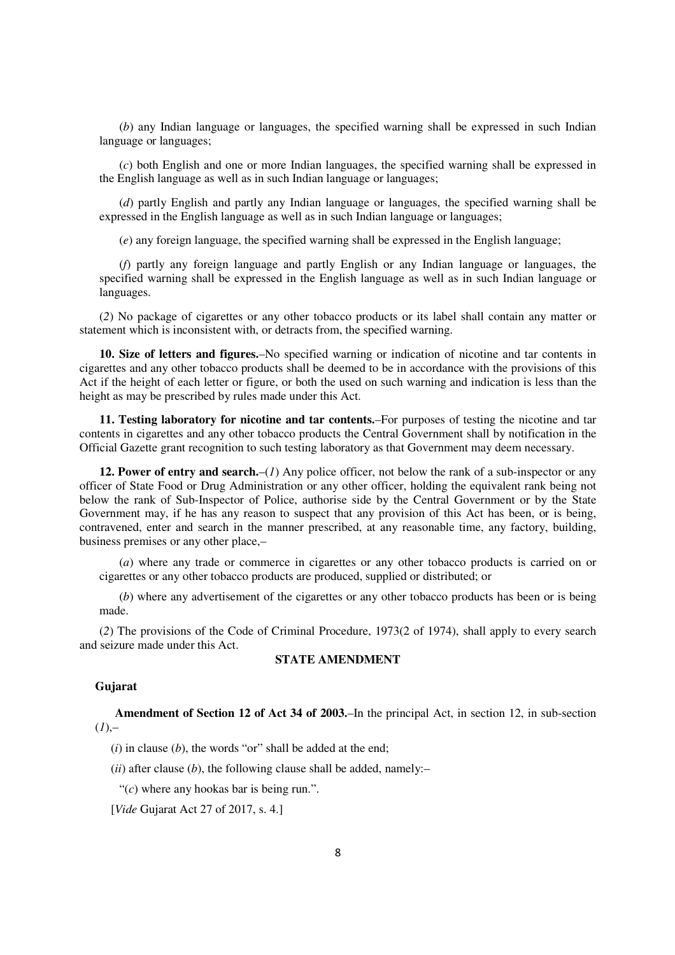(*b*) any Indian language or languages, the specified warning shall be expressed in such Indian language or languages;

(*c*) both English and one or more Indian languages, the specified warning shall be expressed in the English language as well as in such Indian language or languages;

(*d*) partly English and partly any Indian language or languages, the specified warning shall be expressed in the English language as well as in such Indian language or languages;

(*e*) any foreign language, the specified warning shall be expressed in the English language;

(*f*) partly any foreign language and partly English or any Indian language or languages, the specified warning shall be expressed in the English language as well as in such Indian language or languages.

(*2*) No package of cigarettes or any other tobacco products or its label shall contain any matter or statement which is inconsistent with, or detracts from, the specified warning.

**10. Size of letters and figures.**–No specified warning or indication of nicotine and tar contents in cigarettes and any other tobacco products shall be deemed to be in accordance with the provisions of this Act if the height of each letter or figure, or both the used on such warning and indication is less than the height as may be prescribed by rules made under this Act.

**11. Testing laboratory for nicotine and tar contents.**–For purposes of testing the nicotine and tar contents in cigarettes and any other tobacco products the Central Government shall by notification in the Official Gazette grant recognition to such testing laboratory as that Government may deem necessary.

**12. Power of entry and search.**–(*1*) Any police officer, not below the rank of a sub-inspector or any officer of State Food or Drug Administration or any other officer, holding the equivalent rank being not below the rank of Sub-Inspector of Police, authorise side by the Central Government or by the State Government may, if he has any reason to suspect that any provision of this Act has been, or is being, contravened, enter and search in the manner prescribed, at any reasonable time, any factory, building, business premises or any other place,–

(*a*) where any trade or commerce in cigarettes or any other tobacco products is carried on or cigarettes or any other tobacco products are produced, supplied or distributed; or

(*b*) where any advertisement of the cigarettes or any other tobacco products has been or is being made.

(*2*) The provisions of the Code of Criminal Procedure, 1973(2 of 1974), shall apply to every search and seizure made under this Act.

# **STATE AMENDMENT**

#### **Gujarat**

**Amendment of Section 12 of Act 34 of 2003.**–In the principal Act, in section 12, in sub-section  $(I)$ ,–

(*i*) in clause (*b*), the words "or" shall be added at the end;

 $(ii)$  after clause  $(b)$ , the following clause shall be added, namely:-

"(*c*) where any hookas bar is being run.".

[*Vide* Gujarat Act 27 of 2017, s. 4.]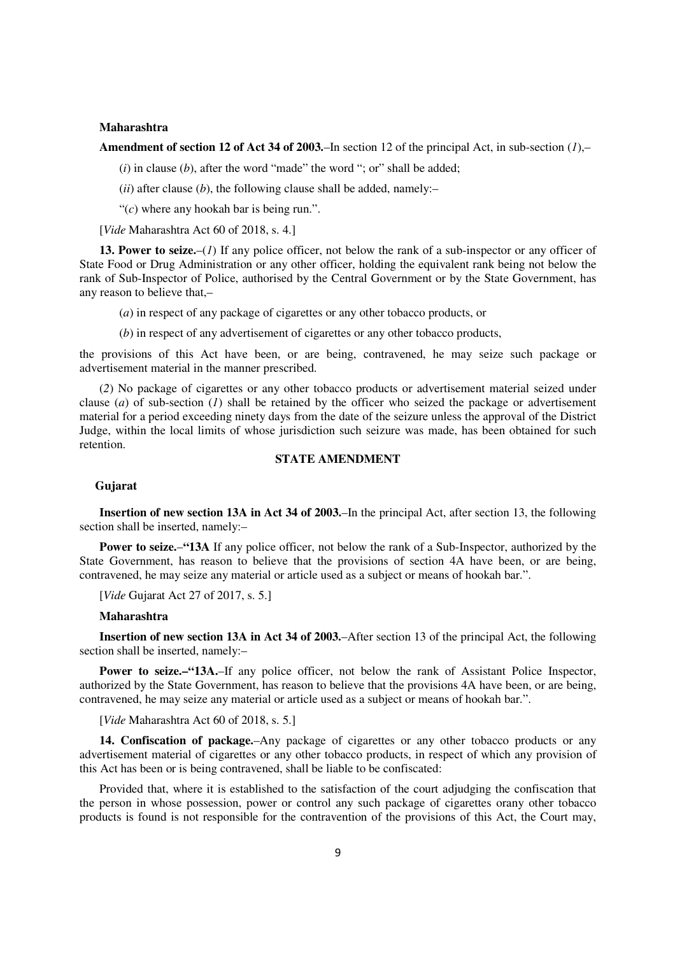#### **Maharashtra**

**Amendment of section 12 of Act 34 of 2003.**–In section 12 of the principal Act, in sub-section (*1*),–

 $(i)$  in clause  $(b)$ , after the word "made" the word "; or" shall be added;

 $(ii)$  after clause  $(b)$ , the following clause shall be added, namely:-

"(*c*) where any hookah bar is being run.".

[*Vide* Maharashtra Act 60 of 2018, s. 4.]

**13. Power to seize.**–(*1*) If any police officer, not below the rank of a sub-inspector or any officer of State Food or Drug Administration or any other officer, holding the equivalent rank being not below the rank of Sub-Inspector of Police, authorised by the Central Government or by the State Government, has any reason to believe that,–

(*a*) in respect of any package of cigarettes or any other tobacco products, or

(*b*) in respect of any advertisement of cigarettes or any other tobacco products,

the provisions of this Act have been, or are being, contravened, he may seize such package or advertisement material in the manner prescribed.

(*2*) No package of cigarettes or any other tobacco products or advertisement material seized under clause (*a*) of sub-section (*1*) shall be retained by the officer who seized the package or advertisement material for a period exceeding ninety days from the date of the seizure unless the approval of the District Judge, within the local limits of whose jurisdiction such seizure was made, has been obtained for such retention.

### **STATE AMENDMENT**

#### **Gujarat**

**Insertion of new section 13A in Act 34 of 2003.**–In the principal Act, after section 13, the following section shall be inserted, namely:–

**Power to seize.**–**"13A** If any police officer, not below the rank of a Sub-Inspector, authorized by the State Government, has reason to believe that the provisions of section 4A have been, or are being, contravened, he may seize any material or article used as a subject or means of hookah bar.".

[*Vide* Gujarat Act 27 of 2017, s. 5.]

#### **Maharashtra**

**Insertion of new section 13A in Act 34 of 2003.**–After section 13 of the principal Act, the following section shall be inserted, namely:–

**Power to seize.–"13A.**–If any police officer, not below the rank of Assistant Police Inspector, authorized by the State Government, has reason to believe that the provisions 4A have been, or are being, contravened, he may seize any material or article used as a subject or means of hookah bar.".

[*Vide* Maharashtra Act 60 of 2018, s. 5.]

**14. Confiscation of package.**–Any package of cigarettes or any other tobacco products or any advertisement material of cigarettes or any other tobacco products, in respect of which any provision of this Act has been or is being contravened, shall be liable to be confiscated:

Provided that, where it is established to the satisfaction of the court adjudging the confiscation that the person in whose possession, power or control any such package of cigarettes orany other tobacco products is found is not responsible for the contravention of the provisions of this Act, the Court may,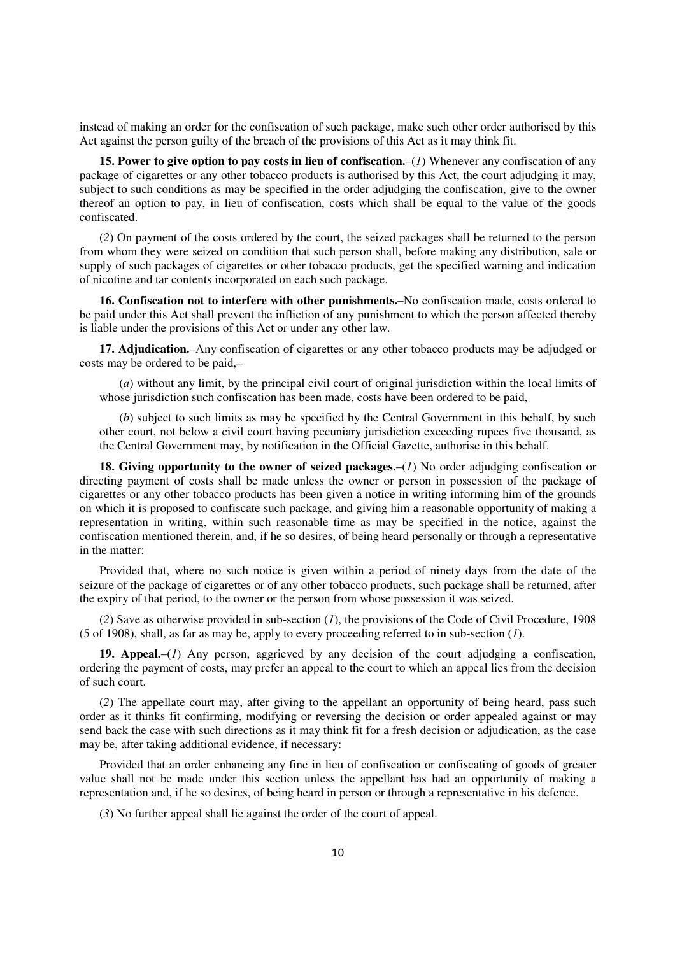instead of making an order for the confiscation of such package, make such other order authorised by this Act against the person guilty of the breach of the provisions of this Act as it may think fit.

**15. Power to give option to pay costs in lieu of confiscation.**–(*1*) Whenever any confiscation of any package of cigarettes or any other tobacco products is authorised by this Act, the court adjudging it may, subject to such conditions as may be specified in the order adjudging the confiscation, give to the owner thereof an option to pay, in lieu of confiscation, costs which shall be equal to the value of the goods confiscated.

(*2*) On payment of the costs ordered by the court, the seized packages shall be returned to the person from whom they were seized on condition that such person shall, before making any distribution, sale or supply of such packages of cigarettes or other tobacco products, get the specified warning and indication of nicotine and tar contents incorporated on each such package.

**16. Confiscation not to interfere with other punishments.**–No confiscation made, costs ordered to be paid under this Act shall prevent the infliction of any punishment to which the person affected thereby is liable under the provisions of this Act or under any other law.

**17. Adjudication.**–Any confiscation of cigarettes or any other tobacco products may be adjudged or costs may be ordered to be paid,–

(*a*) without any limit, by the principal civil court of original jurisdiction within the local limits of whose jurisdiction such confiscation has been made, costs have been ordered to be paid,

(*b*) subject to such limits as may be specified by the Central Government in this behalf, by such other court, not below a civil court having pecuniary jurisdiction exceeding rupees five thousand, as the Central Government may, by notification in the Official Gazette, authorise in this behalf.

**18. Giving opportunity to the owner of seized packages.**–(*1*) No order adjudging confiscation or directing payment of costs shall be made unless the owner or person in possession of the package of cigarettes or any other tobacco products has been given a notice in writing informing him of the grounds on which it is proposed to confiscate such package, and giving him a reasonable opportunity of making a representation in writing, within such reasonable time as may be specified in the notice, against the confiscation mentioned therein, and, if he so desires, of being heard personally or through a representative in the matter:

Provided that, where no such notice is given within a period of ninety days from the date of the seizure of the package of cigarettes or of any other tobacco products, such package shall be returned, after the expiry of that period, to the owner or the person from whose possession it was seized.

(*2*) Save as otherwise provided in sub-section (*1*), the provisions of the Code of Civil Procedure, 1908 (5 of 1908), shall, as far as may be, apply to every proceeding referred to in sub-section (*1*).

**19. Appeal.**–(*1*) Any person, aggrieved by any decision of the court adjudging a confiscation, ordering the payment of costs, may prefer an appeal to the court to which an appeal lies from the decision of such court.

(*2*) The appellate court may, after giving to the appellant an opportunity of being heard, pass such order as it thinks fit confirming, modifying or reversing the decision or order appealed against or may send back the case with such directions as it may think fit for a fresh decision or adjudication, as the case may be, after taking additional evidence, if necessary:

Provided that an order enhancing any fine in lieu of confiscation or confiscating of goods of greater value shall not be made under this section unless the appellant has had an opportunity of making a representation and, if he so desires, of being heard in person or through a representative in his defence.

(*3*) No further appeal shall lie against the order of the court of appeal.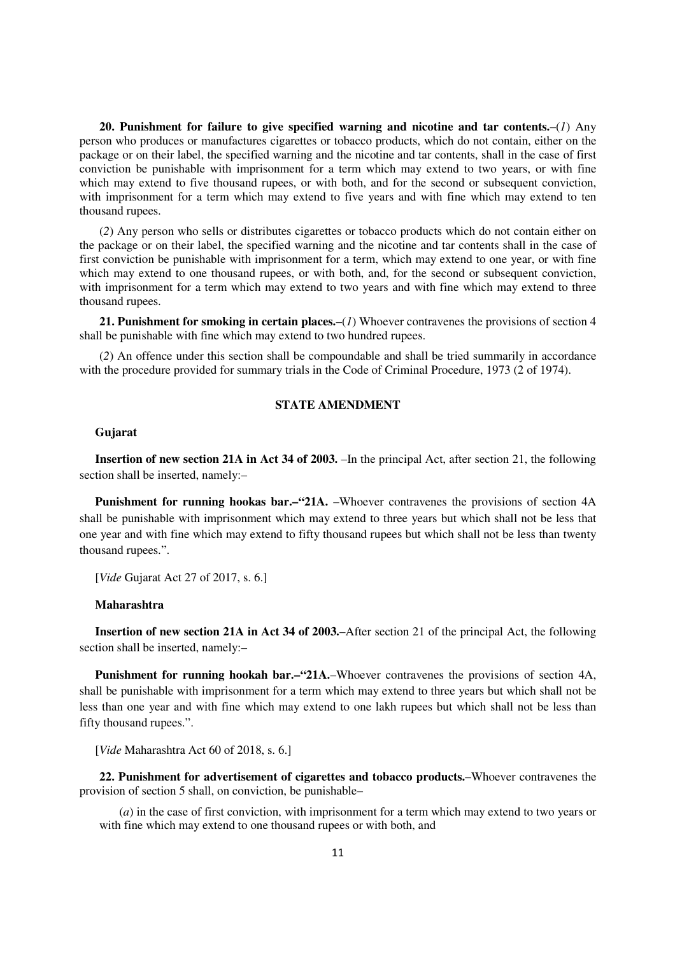**20. Punishment for failure to give specified warning and nicotine and tar contents.**–(*1*) Any person who produces or manufactures cigarettes or tobacco products, which do not contain, either on the package or on their label, the specified warning and the nicotine and tar contents, shall in the case of first conviction be punishable with imprisonment for a term which may extend to two years, or with fine which may extend to five thousand rupees, or with both, and for the second or subsequent conviction, with imprisonment for a term which may extend to five years and with fine which may extend to ten thousand rupees.

(*2*) Any person who sells or distributes cigarettes or tobacco products which do not contain either on the package or on their label, the specified warning and the nicotine and tar contents shall in the case of first conviction be punishable with imprisonment for a term, which may extend to one year, or with fine which may extend to one thousand rupees, or with both, and, for the second or subsequent conviction, with imprisonment for a term which may extend to two years and with fine which may extend to three thousand rupees.

**21. Punishment for smoking in certain places.**–(*1*) Whoever contravenes the provisions of section 4 shall be punishable with fine which may extend to two hundred rupees.

(*2*) An offence under this section shall be compoundable and shall be tried summarily in accordance with the procedure provided for summary trials in the Code of Criminal Procedure, 1973 (2 of 1974).

# **STATE AMENDMENT**

# **Gujarat**

**Insertion of new section 21A in Act 34 of 2003.** –In the principal Act, after section 21, the following section shall be inserted, namely:–

**Punishment for running hookas bar.–"21A.** –Whoever contravenes the provisions of section 4A shall be punishable with imprisonment which may extend to three years but which shall not be less that one year and with fine which may extend to fifty thousand rupees but which shall not be less than twenty thousand rupees.".

[*Vide* Gujarat Act 27 of 2017, s. 6.]

## **Maharashtra**

**Insertion of new section 21A in Act 34 of 2003.**–After section 21 of the principal Act, the following section shall be inserted, namely:–

**Punishment for running hookah bar.–"21A.–Whoever contravenes the provisions of section 4A,** shall be punishable with imprisonment for a term which may extend to three years but which shall not be less than one year and with fine which may extend to one lakh rupees but which shall not be less than fifty thousand rupees.".

[*Vide* Maharashtra Act 60 of 2018, s. 6.]

**22. Punishment for advertisement of cigarettes and tobacco products.**–Whoever contravenes the provision of section 5 shall, on conviction, be punishable–

(*a*) in the case of first conviction, with imprisonment for a term which may extend to two years or with fine which may extend to one thousand rupees or with both, and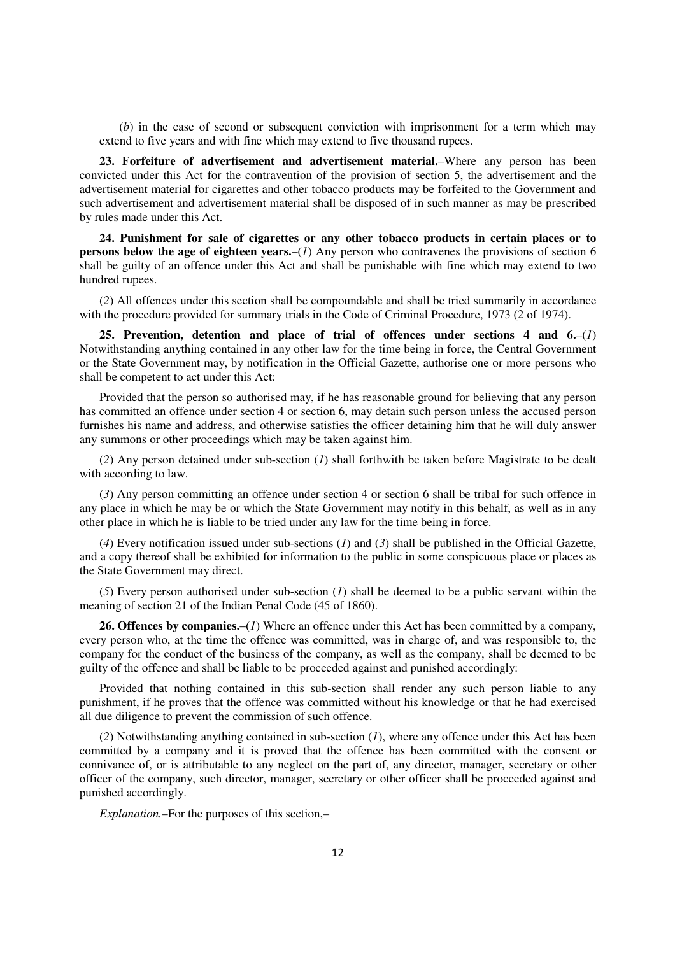(*b*) in the case of second or subsequent conviction with imprisonment for a term which may extend to five years and with fine which may extend to five thousand rupees.

**23. Forfeiture of advertisement and advertisement material.**–Where any person has been convicted under this Act for the contravention of the provision of section 5, the advertisement and the advertisement material for cigarettes and other tobacco products may be forfeited to the Government and such advertisement and advertisement material shall be disposed of in such manner as may be prescribed by rules made under this Act.

**24. Punishment for sale of cigarettes or any other tobacco products in certain places or to persons below the age of eighteen years.**–(*1*) Any person who contravenes the provisions of section 6 shall be guilty of an offence under this Act and shall be punishable with fine which may extend to two hundred rupees.

(*2*) All offences under this section shall be compoundable and shall be tried summarily in accordance with the procedure provided for summary trials in the Code of Criminal Procedure, 1973 (2 of 1974).

**25. Prevention, detention and place of trial of offences under sections 4 and 6.**–(*1*) Notwithstanding anything contained in any other law for the time being in force, the Central Government or the State Government may, by notification in the Official Gazette, authorise one or more persons who shall be competent to act under this Act:

Provided that the person so authorised may, if he has reasonable ground for believing that any person has committed an offence under section 4 or section 6, may detain such person unless the accused person furnishes his name and address, and otherwise satisfies the officer detaining him that he will duly answer any summons or other proceedings which may be taken against him.

(*2*) Any person detained under sub-section (*1*) shall forthwith be taken before Magistrate to be dealt with according to law.

(*3*) Any person committing an offence under section 4 or section 6 shall be tribal for such offence in any place in which he may be or which the State Government may notify in this behalf, as well as in any other place in which he is liable to be tried under any law for the time being in force.

(*4*) Every notification issued under sub-sections (*1*) and (*3*) shall be published in the Official Gazette, and a copy thereof shall be exhibited for information to the public in some conspicuous place or places as the State Government may direct.

(*5*) Every person authorised under sub-section (*1*) shall be deemed to be a public servant within the meaning of section 21 of the Indian Penal Code (45 of 1860).

**26. Offences by companies.**–(*1*) Where an offence under this Act has been committed by a company, every person who, at the time the offence was committed, was in charge of, and was responsible to, the company for the conduct of the business of the company, as well as the company, shall be deemed to be guilty of the offence and shall be liable to be proceeded against and punished accordingly:

Provided that nothing contained in this sub-section shall render any such person liable to any punishment, if he proves that the offence was committed without his knowledge or that he had exercised all due diligence to prevent the commission of such offence.

(*2*) Notwithstanding anything contained in sub-section (*1*), where any offence under this Act has been committed by a company and it is proved that the offence has been committed with the consent or connivance of, or is attributable to any neglect on the part of, any director, manager, secretary or other officer of the company, such director, manager, secretary or other officer shall be proceeded against and punished accordingly.

*Explanation.*–For the purposes of this section,–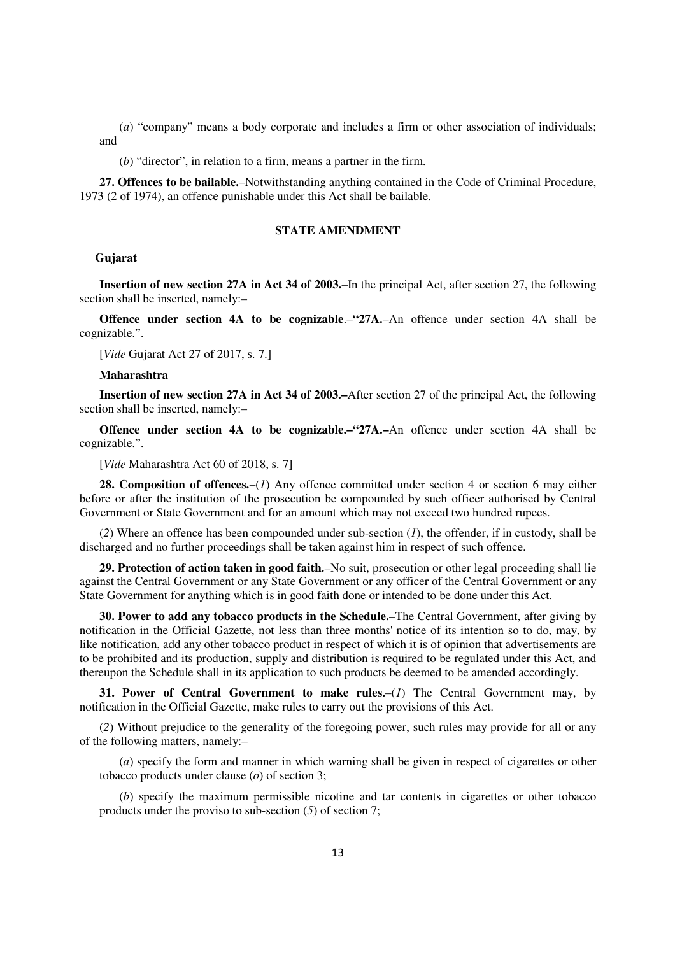(*a*) "company" means a body corporate and includes a firm or other association of individuals; and

(*b*) "director", in relation to a firm, means a partner in the firm.

**27. Offences to be bailable.**–Notwithstanding anything contained in the Code of Criminal Procedure, 1973 (2 of 1974), an offence punishable under this Act shall be bailable.

# **STATE AMENDMENT**

### **Gujarat**

**Insertion of new section 27A in Act 34 of 2003.**–In the principal Act, after section 27, the following section shall be inserted, namely:–

**Offence under section 4A to be cognizable.–
"27A.–An offence under section 4A shall be** cognizable.".

[*Vide* Gujarat Act 27 of 2017, s. 7.]

#### **Maharashtra**

**Insertion of new section 27A in Act 34 of 2003.–**After section 27 of the principal Act, the following section shall be inserted, namely:–

**Offence under section 4A to be cognizable.–"27A.–An** offence under section 4A shall be cognizable.".

[*Vide* Maharashtra Act 60 of 2018, s. 7]

**28. Composition of offences.**–(*1*) Any offence committed under section 4 or section 6 may either before or after the institution of the prosecution be compounded by such officer authorised by Central Government or State Government and for an amount which may not exceed two hundred rupees.

(*2*) Where an offence has been compounded under sub-section (*1*), the offender, if in custody, shall be discharged and no further proceedings shall be taken against him in respect of such offence.

**29. Protection of action taken in good faith.**–No suit, prosecution or other legal proceeding shall lie against the Central Government or any State Government or any officer of the Central Government or any State Government for anything which is in good faith done or intended to be done under this Act.

**30. Power to add any tobacco products in the Schedule.**–The Central Government, after giving by notification in the Official Gazette, not less than three months' notice of its intention so to do, may, by like notification, add any other tobacco product in respect of which it is of opinion that advertisements are to be prohibited and its production, supply and distribution is required to be regulated under this Act, and thereupon the Schedule shall in its application to such products be deemed to be amended accordingly.

**31. Power of Central Government to make rules.**–(*1*) The Central Government may, by notification in the Official Gazette, make rules to carry out the provisions of this Act.

(*2*) Without prejudice to the generality of the foregoing power, such rules may provide for all or any of the following matters, namely:–

(*a*) specify the form and manner in which warning shall be given in respect of cigarettes or other tobacco products under clause (*o*) of section 3;

(*b*) specify the maximum permissible nicotine and tar contents in cigarettes or other tobacco products under the proviso to sub-section (*5*) of section 7;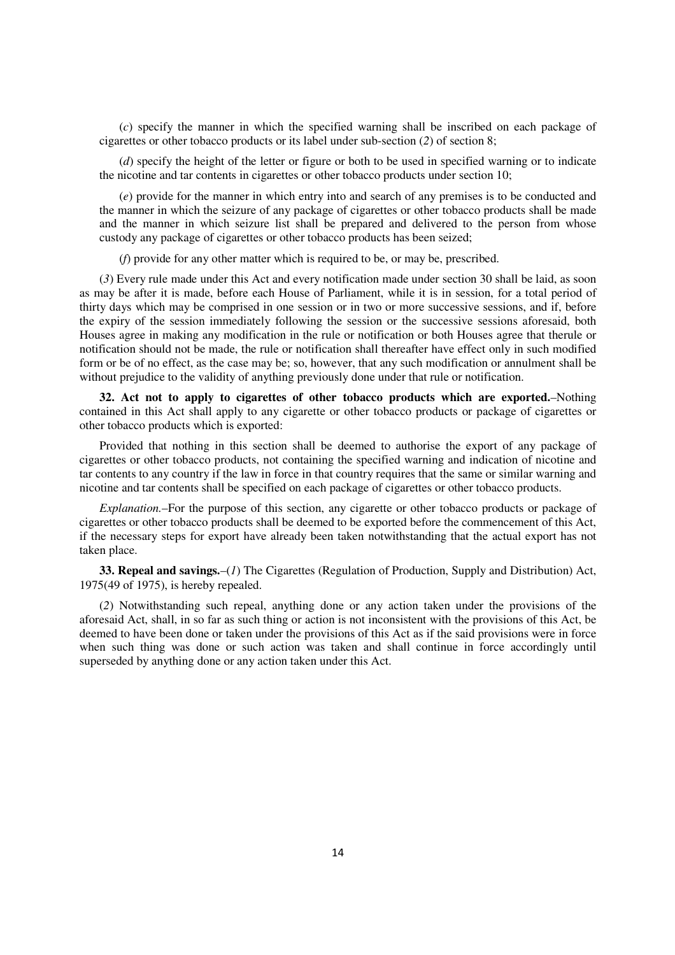(*c*) specify the manner in which the specified warning shall be inscribed on each package of cigarettes or other tobacco products or its label under sub-section (*2*) of section 8;

(*d*) specify the height of the letter or figure or both to be used in specified warning or to indicate the nicotine and tar contents in cigarettes or other tobacco products under section 10;

(*e*) provide for the manner in which entry into and search of any premises is to be conducted and the manner in which the seizure of any package of cigarettes or other tobacco products shall be made and the manner in which seizure list shall be prepared and delivered to the person from whose custody any package of cigarettes or other tobacco products has been seized;

(*f*) provide for any other matter which is required to be, or may be, prescribed.

(*3*) Every rule made under this Act and every notification made under section 30 shall be laid, as soon as may be after it is made, before each House of Parliament, while it is in session, for a total period of thirty days which may be comprised in one session or in two or more successive sessions, and if, before the expiry of the session immediately following the session or the successive sessions aforesaid, both Houses agree in making any modification in the rule or notification or both Houses agree that therule or notification should not be made, the rule or notification shall thereafter have effect only in such modified form or be of no effect, as the case may be; so, however, that any such modification or annulment shall be without prejudice to the validity of anything previously done under that rule or notification.

**32. Act not to apply to cigarettes of other tobacco products which are exported.**–Nothing contained in this Act shall apply to any cigarette or other tobacco products or package of cigarettes or other tobacco products which is exported:

Provided that nothing in this section shall be deemed to authorise the export of any package of cigarettes or other tobacco products, not containing the specified warning and indication of nicotine and tar contents to any country if the law in force in that country requires that the same or similar warning and nicotine and tar contents shall be specified on each package of cigarettes or other tobacco products.

*Explanation.*–For the purpose of this section, any cigarette or other tobacco products or package of cigarettes or other tobacco products shall be deemed to be exported before the commencement of this Act, if the necessary steps for export have already been taken notwithstanding that the actual export has not taken place.

**33. Repeal and savings.**–(*1*) The Cigarettes (Regulation of Production, Supply and Distribution) Act, 1975(49 of 1975), is hereby repealed.

(*2*) Notwithstanding such repeal, anything done or any action taken under the provisions of the aforesaid Act, shall, in so far as such thing or action is not inconsistent with the provisions of this Act, be deemed to have been done or taken under the provisions of this Act as if the said provisions were in force when such thing was done or such action was taken and shall continue in force accordingly until superseded by anything done or any action taken under this Act.